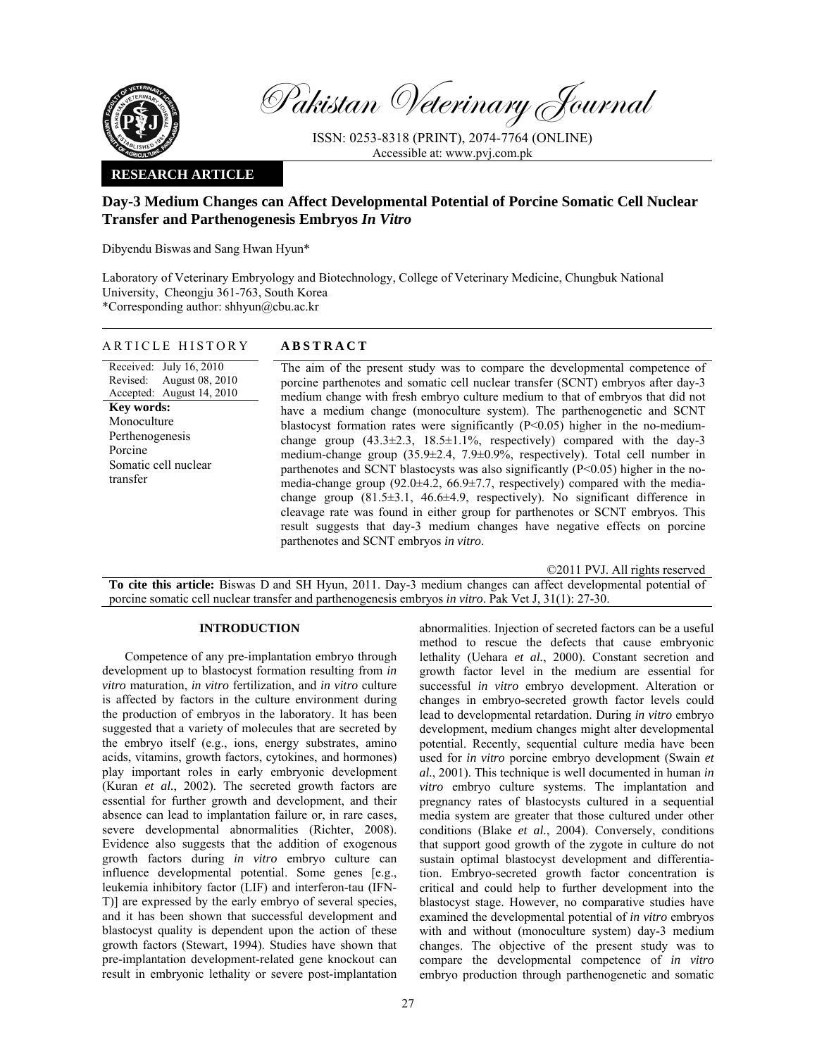

Pakistan Veterinary Journal

ISSN: 0253-8318 (PRINT), 2074-7764 (ONLINE) Accessible at: www.pvj.com.pk

# **RESEARCH ARTICLE**

# **Day-3 Medium Changes can Affect Developmental Potential of Porcine Somatic Cell Nuclear Transfer and Parthenogenesis Embryos** *In Vitro*

Dibyendu Biswas and Sang Hwan Hyun\*

Laboratory of Veterinary Embryology and Biotechnology, College of Veterinary Medicine, Chungbuk National University, Cheongju 361-763, South Korea \*Corresponding author: shhyun@cbu.ac.kr

**ACT** 

| ARTICLE HISTORY | <b>ABSTR</b> |
|-----------------|--------------|
|-----------------|--------------|

Received: July 16, 2010 Revised: Accepted: August 14, 2010 August 08, 2010 **Key words:**  Monoculture Perthenogenesis Porcine Somatic cell nuclear transfer

The aim of the present study was to compare the developmental competence of porcine parthenotes and somatic cell nuclear transfer (SCNT) embryos after day-3 medium change with fresh embryo culture medium to that of embryos that did not have a medium change (monoculture system). The parthenogenetic and SCNT blastocyst formation rates were significantly  $(P<0.05)$  higher in the no-mediumchange group  $(43.3\pm 2.3, 18.5\pm 1.1\%$ , respectively) compared with the day-3 medium-change group (35.9±2.4, 7.9±0.9%, respectively). Total cell number in parthenotes and SCNT blastocysts was also significantly (P<0.05) higher in the nomedia-change group (92.0±4.2, 66.9±7.7, respectively) compared with the mediachange group (81.5±3.1, 46.6±4.9, respectively). No significant difference in cleavage rate was found in either group for parthenotes or SCNT embryos. This result suggests that day-3 medium changes have negative effects on porcine parthenotes and SCNT embryos *in vitro*.

©2011 PVJ. All rights reserved

**To cite this article:** Biswas D and SH Hyun, 2011. Day-3 medium changes can affect developmental potential of porcine somatic cell nuclear transfer and parthenogenesis embryos *in vitro*. Pak Vet J, 31(1): 27-30.

## **INTRODUCTION**

Competence of any pre-implantation embryo through development up to blastocyst formation resulting from *in vitro* maturation, *in vitro* fertilization, and *in vitro* culture is affected by factors in the culture environment during the production of embryos in the laboratory. It has been suggested that a variety of molecules that are secreted by the embryo itself (e.g., ions, energy substrates, amino acids, vitamins, growth factors, cytokines, and hormones) play important roles in early embryonic development (Kuran *et al.*, 2002). The secreted growth factors are essential for further growth and development, and their absence can lead to implantation failure or, in rare cases, severe developmental abnormalities (Richter, 2008). Evidence also suggests that the addition of exogenous growth factors during *in vitro* embryo culture can influence developmental potential. Some genes [e.g., leukemia inhibitory factor (LIF) and interferon-tau (IFN-T)] are expressed by the early embryo of several species, and it has been shown that successful development and blastocyst quality is dependent upon the action of these growth factors (Stewart, 1994). Studies have shown that pre-implantation development-related gene knockout can result in embryonic lethality or severe post-implantation abnormalities. Injection of secreted factors can be a useful method to rescue the defects that cause embryonic lethality (Uehara *et al.*, 2000). Constant secretion and growth factor level in the medium are essential for successful *in vitro* embryo development. Alteration or changes in embryo-secreted growth factor levels could lead to developmental retardation. During *in vitro* embryo development, medium changes might alter developmental potential. Recently, sequential culture media have been used for *in vitro* porcine embryo development (Swain *et al.*, 2001). This technique is well documented in human *in vitro* embryo culture systems. The implantation and pregnancy rates of blastocysts cultured in a sequential media system are greater that those cultured under other conditions (Blake *et al.*, 2004). Conversely, conditions that support good growth of the zygote in culture do not sustain optimal blastocyst development and differentiation. Embryo-secreted growth factor concentration is critical and could help to further development into the blastocyst stage. However, no comparative studies have examined the developmental potential of *in vitro* embryos with and without (monoculture system) day-3 medium changes. The objective of the present study was to compare the developmental competence of *in vitro* embryo production through parthenogenetic and somatic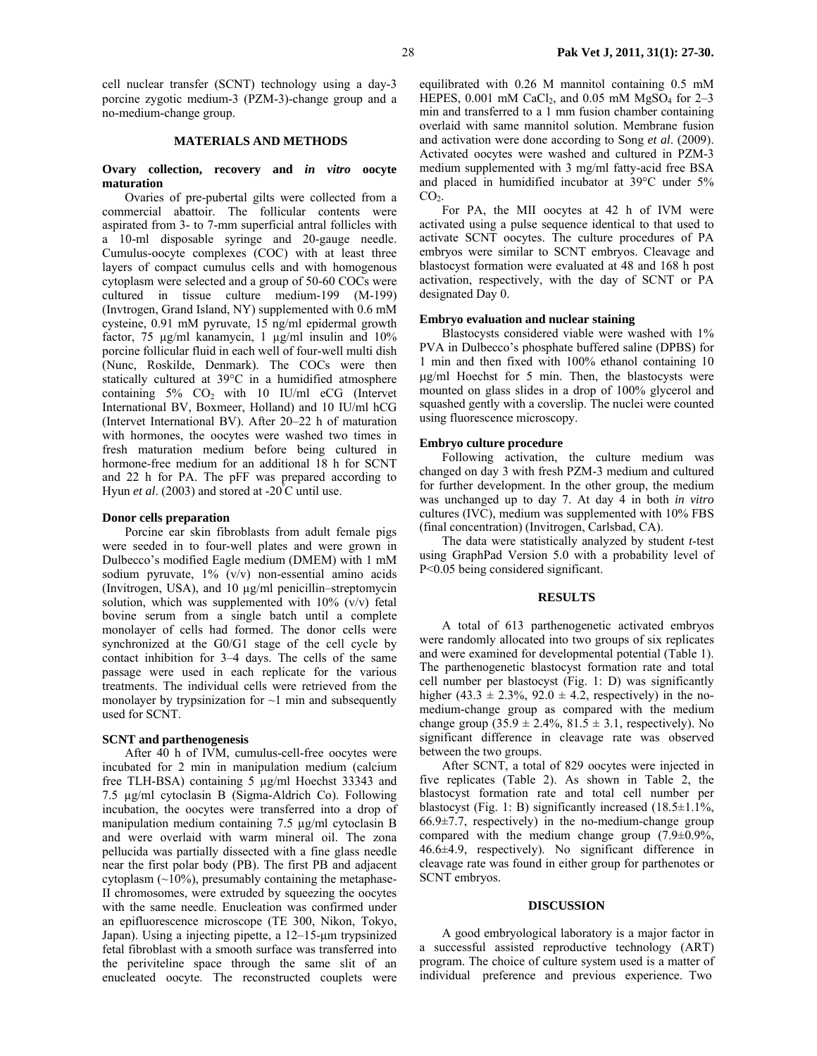cell nuclear transfer (SCNT) technology using a day-3 porcine zygotic medium-3 (PZM-3)-change group and a no-medium-change group.

#### **MATERIALS AND METHODS**

#### **Ovary collection, recovery and** *in vitro* **oocyte maturation**

Ovaries of pre-pubertal gilts were collected from a commercial abattoir. The follicular contents were aspirated from 3- to 7-mm superficial antral follicles with a 10-ml disposable syringe and 20-gauge needle. Cumulus-oocyte complexes (COC) with at least three layers of compact cumulus cells and with homogenous cytoplasm were selected and a group of 50-60 COCs were cultured in tissue culture medium-199 (M-199) (Invtrogen, Grand Island, NY) supplemented with 0.6 mM cysteine, 0.91 mM pyruvate, 15 ng/ml epidermal growth factor, 75 µg/ml kanamycin, 1 µg/ml insulin and 10% porcine follicular fluid in each well of four-well multi dish (Nunc, Roskilde, Denmark). The COCs were then statically cultured at 39°C in a humidified atmosphere containing  $5\%$  CO<sub>2</sub> with 10 IU/ml eCG (Intervet International BV, Boxmeer, Holland) and 10 IU/ml hCG (Intervet International BV). After 20–22 h of maturation with hormones, the oocytes were washed two times in fresh maturation medium before being cultured in hormone-free medium for an additional 18 h for SCNT and 22 h for PA. The pFF was prepared according to Hyun *et al.* (2003) and stored at -20 $^{\circ}$ C until use.

#### **Donor cells preparation**

Porcine ear skin fibroblasts from adult female pigs were seeded in to four-well plates and were grown in Dulbecco's modified Eagle medium (DMEM) with 1 mM sodium pyruvate, 1% (v/v) non-essential amino acids (Invitrogen, USA), and 10 µg/ml penicillin–streptomycin solution, which was supplemented with  $10\%$  (v/v) fetal bovine serum from a single batch until a complete monolayer of cells had formed. The donor cells were synchronized at the G0/G1 stage of the cell cycle by contact inhibition for 3–4 days. The cells of the same passage were used in each replicate for the various treatments. The individual cells were retrieved from the monolayer by trypsinization for  $\sim$ 1 min and subsequently used for SCNT.

## **SCNT and parthenogenesis**

After 40 h of IVM, cumulus-cell-free oocytes were incubated for 2 min in manipulation medium (calcium free TLH-BSA) containing 5 µg/ml Hoechst 33343 and 7.5 µg/ml cytoclasin B (Sigma-Aldrich Co). Following incubation, the oocytes were transferred into a drop of manipulation medium containing 7.5 µg/ml cytoclasin B and were overlaid with warm mineral oil. The zona pellucida was partially dissected with a fine glass needle near the first polar body (PB). The first PB and adjacent cytoplasm  $(\sim 10\%)$ , presumably containing the metaphase-II chromosomes, were extruded by squeezing the oocytes with the same needle. Enucleation was confirmed under an epifluorescence microscope (TE 300, Nikon, Tokyo, Japan). Using a injecting pipette, a 12–15-µm trypsinized fetal fibroblast with a smooth surface was transferred into the periviteline space through the same slit of an enucleated oocyte. The reconstructed couplets were

equilibrated with 0.26 M mannitol containing 0.5 mM HEPES,  $0.001$  mM CaCl<sub>2</sub>, and  $0.05$  mM MgSO<sub>4</sub> for  $2-3$ min and transferred to a 1 mm fusion chamber containing overlaid with same mannitol solution. Membrane fusion and activation were done according to Song *et al*. (2009). Activated oocytes were washed and cultured in PZM-3 medium supplemented with 3 mg/ml fatty-acid free BSA and placed in humidified incubator at 39°C under 5%  $CO<sub>2</sub>$ .

For PA, the MII oocytes at 42 h of IVM were activated using a pulse sequence identical to that used to activate SCNT oocytes. The culture procedures of PA embryos were similar to SCNT embryos. Cleavage and blastocyst formation were evaluated at 48 and 168 h post activation, respectively, with the day of SCNT or PA designated Day 0.

#### **Embryo evaluation and nuclear staining**

Blastocysts considered viable were washed with 1% PVA in Dulbecco's phosphate buffered saline (DPBS) for 1 min and then fixed with 100% ethanol containing 10 µg/ml Hoechst for 5 min. Then, the blastocysts were mounted on glass slides in a drop of 100% glycerol and squashed gently with a coverslip. The nuclei were counted using fluorescence microscopy.

## **Embryo culture procedure**

Following activation, the culture medium was changed on day 3 with fresh PZM-3 medium and cultured for further development. In the other group, the medium was unchanged up to day 7. At day 4 in both *in vitro*  cultures (IVC), medium was supplemented with 10% FBS (final concentration) (Invitrogen, Carlsbad, CA).

The data were statistically analyzed by student *t*-test using GraphPad Version 5.0 with a probability level of P<0.05 being considered significant.

#### **RESULTS**

A total of 613 parthenogenetic activated embryos were randomly allocated into two groups of six replicates and were examined for developmental potential (Table 1). The parthenogenetic blastocyst formation rate and total cell number per blastocyst (Fig. 1: D) was significantly higher (43.3  $\pm$  2.3%, 92.0  $\pm$  4.2, respectively) in the nomedium-change group as compared with the medium change group  $(35.9 \pm 2.4\%, 81.5 \pm 3.1,$  respectively). No significant difference in cleavage rate was observed between the two groups.

After SCNT, a total of 829 oocytes were injected in five replicates (Table 2). As shown in Table 2, the blastocyst formation rate and total cell number per blastocyst (Fig. 1: B) significantly increased  $(18.5 \pm 1.1\%$ ,  $66.9 \pm 7.7$ , respectively) in the no-medium-change group compared with the medium change group (7.9±0.9%, 46.6±4.9, respectively). No significant difference in cleavage rate was found in either group for parthenotes or SCNT embryos.

#### **DISCUSSION**

A good embryological laboratory is a major factor in a successful assisted reproductive technology (ART) program. The choice of culture system used is a matter of individual preference and previous experience. Two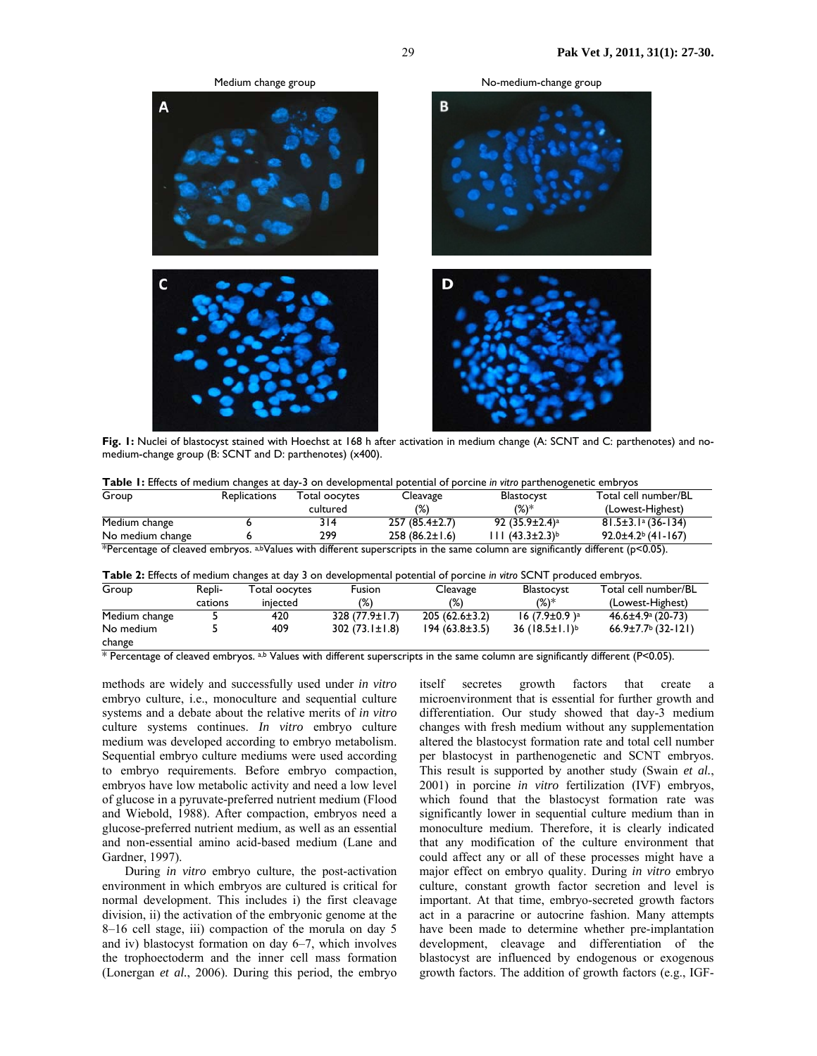

**Fig. 1:** Nuclei of blastocyst stained with Hoechst at 168 h after activation in medium change (A: SCNT and C: parthenotes) and nomedium-change group (B: SCNT and D: parthenotes) (x400).

| <b>Table 1:</b> Effects of medium changes at day-3 on developmental potential of porcine in vitro parthenogenetic embryos |                     |               |                   |                   |                                      |  |  |  |  |
|---------------------------------------------------------------------------------------------------------------------------|---------------------|---------------|-------------------|-------------------|--------------------------------------|--|--|--|--|
| Group                                                                                                                     | <b>Replications</b> | Total oocytes | Cleavage          | <b>Blastocyst</b> | Total cell number/BL                 |  |  |  |  |
|                                                                                                                           |                     | cultured      | (%)               | $(\%)^*$          | (Lowest-Highest)                     |  |  |  |  |
| Medium change                                                                                                             |                     | 314           | $257(85.4\pm2.7)$ | $92(35.9\pm2.4)a$ | $81.5 \pm 3.1$ a (36-134)            |  |  |  |  |
| No medium change                                                                                                          |                     | 299           | $258(86.2\pm1.6)$ | III (43.3±2.3)b   | $92.0 \pm 4.2$ <sup>b</sup> (41-167) |  |  |  |  |

\*Percentage of cleaved embryos. a,bValues with different superscripts in the same column are significantly different ( $p$ <0.05).

**Table 2:** Effects of medium changes at day 3 on developmental potential of porcine *in vitro* SCNT produced embryos.

| Group         | Repli-  | Fotal oocytes | Fusion              | Cleavage          | Blastocyst                        | Total cell number/BL                     |
|---------------|---------|---------------|---------------------|-------------------|-----------------------------------|------------------------------------------|
|               | cations | injected      | $(\%)$              | (%)               | $(\%)^*$                          | (Lowest-Highest)                         |
| Medium change |         | 420           | $328(77.9 \pm 1.7)$ | $205(62.6\pm3.2)$ | $16$ (7.9 $\pm$ 0.9) <sup>a</sup> | $46.6 \pm 4.9$ a (20-73)                 |
| No medium     |         | 409           | $302(73.1\pm1.8)$   | $194(63.8\pm3.5)$ | $36 (18.5 \pm 1.1)^b$             | $66.9 \pm 7.7$ <sup>b</sup> $(32 - 121)$ |
| change        |         |               |                     |                   |                                   |                                          |

\* Percentage of cleaved embryos. a,b Values with different superscripts in the same column are significantly different (P<0.05).

methods are widely and successfully used under *in vitro* embryo culture, i.e., monoculture and sequential culture systems and a debate about the relative merits of *in vitro* culture systems continues. *In vitro* embryo culture medium was developed according to embryo metabolism. Sequential embryo culture mediums were used according to embryo requirements. Before embryo compaction, embryos have low metabolic activity and need a low level of glucose in a pyruvate-preferred nutrient medium (Flood and Wiebold, 1988). After compaction, embryos need a glucose-preferred nutrient medium, as well as an essential and non-essential amino acid-based medium (Lane and Gardner, 1997).

During *in vitro* embryo culture, the post-activation environment in which embryos are cultured is critical for normal development. This includes i) the first cleavage division, ii) the activation of the embryonic genome at the 8–16 cell stage, iii) compaction of the morula on day 5 and iv) blastocyst formation on day 6–7, which involves the trophoectoderm and the inner cell mass formation (Lonergan *et al.*, 2006). During this period, the embryo

itself secretes growth factors that create a microenvironment that is essential for further growth and differentiation. Our study showed that day-3 medium changes with fresh medium without any supplementation altered the blastocyst formation rate and total cell number per blastocyst in parthenogenetic and SCNT embryos. This result is supported by another study (Swain *et al.*, 2001) in porcine *in vitro* fertilization (IVF) embryos, which found that the blastocyst formation rate was significantly lower in sequential culture medium than in monoculture medium. Therefore, it is clearly indicated that any modification of the culture environment that could affect any or all of these processes might have a major effect on embryo quality. During *in vitro* embryo culture, constant growth factor secretion and level is important. At that time, embryo-secreted growth factors act in a paracrine or autocrine fashion. Many attempts have been made to determine whether pre-implantation development, cleavage and differentiation of the blastocyst are influenced by endogenous or exogenous growth factors. The addition of growth factors (e.g., IGF-